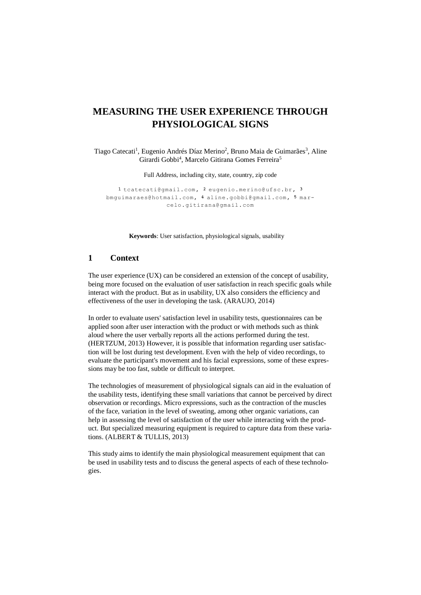# **MEASURING THE USER EXPERIENCE THROUGH PHYSIOLOGICAL SIGNS**

Tiago Catecati<sup>1</sup>, Eugenio Andrés Díaz Merino<sup>2</sup>, Bruno Maia de Guimarães<sup>3</sup>, Aline Girardi Gobbi<sup>4</sup>, Marcelo Gitirana Gomes Ferreira<sup>5</sup>

Full Address, including city, state, country, zip code

1 [tcatecati@gmail.com,](mailto:tcatecati@gmail.com) 2 [eugenio.merino@ufsc.br,](mailto:eugenio.merino@ufsc.br) 3 [bmguimaraes@hotmail.com,](mailto:bmguimaraes@hotmail.com) 4 [aline.gobbi@gmail.com,](mailto:aline.gobbi@gmail.com) 5 marcelo.gitirana@gmail.com

**Keywords**: User satisfaction, physiological signals, usability

#### **1 Context**

The user experience (UX) can be considered an extension of the concept of usability, being more focused on the evaluation of user satisfaction in reach specific goals while interact with the product. But as in usability, UX also considers the efficiency and effectiveness of the user in developing the task. (ARAUJO, 2014)

In order to evaluate users' satisfaction level in usability tests, questionnaires can be applied soon after user interaction with the product or with methods such as think aloud where the user verbally reports all the actions performed during the test. (HERTZUM, 2013) However, it is possible that information regarding user satisfaction will be lost during test development. Even with the help of video recordings, to evaluate the participant's movement and his facial expressions, some of these expressions may be too fast, subtle or difficult to interpret.

The technologies of measurement of physiological signals can aid in the evaluation of the usability tests, identifying these small variations that cannot be perceived by direct observation or recordings. Micro expressions, such as the contraction of the muscles of the face, variation in the level of sweating, among other organic variations, can help in assessing the level of satisfaction of the user while interacting with the product. But specialized measuring equipment is required to capture data from these variations. (ALBERT & TULLIS, 2013)

This study aims to identify the main physiological measurement equipment that can be used in usability tests and to discuss the general aspects of each of these technologies.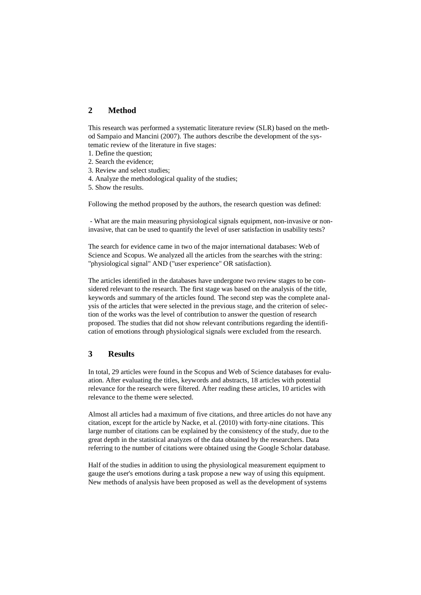### **2 Method**

This research was performed a systematic literature review (SLR) based on the method Sampaio and Mancini (2007). The authors describe the development of the systematic review of the literature in five stages:

- 1. Define the question;
- 2. Search the evidence;
- 3. Review and select studies;
- 4. Analyze the methodological quality of the studies;
- 5. Show the results.

Following the method proposed by the authors, the research question was defined:

- What are the main measuring physiological signals equipment, non-invasive or noninvasive, that can be used to quantify the level of user satisfaction in usability tests?

The search for evidence came in two of the major international databases: Web of Science and Scopus. We analyzed all the articles from the searches with the string: "physiological signal" AND ("user experience" OR satisfaction).

The articles identified in the databases have undergone two review stages to be considered relevant to the research. The first stage was based on the analysis of the title, keywords and summary of the articles found. The second step was the complete analysis of the articles that were selected in the previous stage, and the criterion of selection of the works was the level of contribution to answer the question of research proposed. The studies that did not show relevant contributions regarding the identification of emotions through physiological signals were excluded from the research.

## **3 Results**

In total, 29 articles were found in the Scopus and Web of Science databases for evaluation. After evaluating the titles, keywords and abstracts, 18 articles with potential relevance for the research were filtered. After reading these articles, 10 articles with relevance to the theme were selected.

Almost all articles had a maximum of five citations, and three articles do not have any citation, except for the article by Nacke, et al. (2010) with forty-nine citations. This large number of citations can be explained by the consistency of the study, due to the great depth in the statistical analyzes of the data obtained by the researchers. Data referring to the number of citations were obtained using the Google Scholar database.

Half of the studies in addition to using the physiological measurement equipment to gauge the user's emotions during a task propose a new way of using this equipment. New methods of analysis have been proposed as well as the development of systems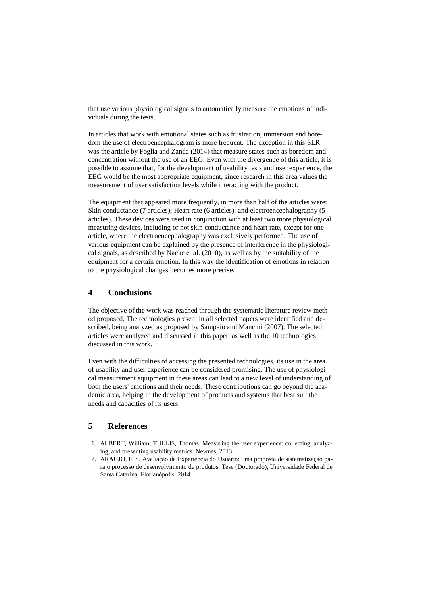that use various physiological signals to automatically measure the emotions of individuals during the tests.

In articles that work with emotional states such as frustration, immersion and boredom the use of electroencephalogram is more frequent. The exception in this SLR was the article by Foglia and Zanda (2014) that measure states such as boredom and concentration without the use of an EEG. Even with the divergence of this article, it is possible to assume that, for the development of usability tests and user experience, the EEG would be the most appropriate equipment, since research in this area values the measurement of user satisfaction levels while interacting with the product.

The equipment that appeared more frequently, in more than half of the articles were: Skin conductance (7 articles); Heart rate (6 articles); and electroencephalography (5 articles). These devices were used in conjunction with at least two more physiological measuring devices, including or not skin conductance and heart rate, except for one article, where the electroencephalography was exclusively performed. The use of various equipment can be explained by the presence of interference in the physiological signals, as described by Nacke et al. (2010), as well as by the suitability of the equipment for a certain emotion. In this way the identification of emotions in relation to the physiological changes becomes more precise.

# **4 Conclusions**

The objective of the work was reached through the systematic literature review method proposed. The technologies present in all selected papers were identified and described, being analyzed as proposed by Sampaio and Mancini (2007). The selected articles were analyzed and discussed in this paper, as well as the 10 technologies discussed in this work.

Even with the difficulties of accessing the presented technologies, its use in the area of usability and user experience can be considered promising. The use of physiological measurement equipment in these areas can lead to a new level of understanding of both the users' emotions and their needs. These contributions can go beyond the academic area, helping in the development of products and systems that best suit the needs and capacities of its users.

#### **5 References**

- 1. ALBERT, William; TULLIS, Thomas. Measuring the user experience: collecting, analyzing, and presenting usability metrics. Newnes, 2013.
- 2. ARAUJO, F. S. Avaliação da Experiência do Usuário: uma proposta de sistematização para o processo de desenvolvimento de produtos. Tese (Doutorado), Universidade Federal de Santa Catarina, Florianópolis. 2014.